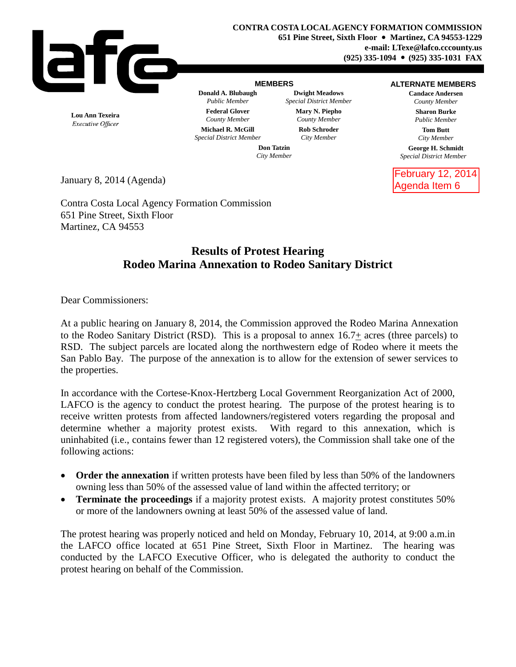

## **MEMBERS**

**Donald A. Blubaugh Dwight Meadows**

## **ALTERNATE MEMBERS**

**Candace Andersen** *County Member*

> **Sharon Burke** *Public Member*

> > **Tom Butt** *City Member*

**George H. Schmidt** *Special District Member*

February 12, 2014 Agenda Item 6

**Lou Ann Texeira** Executive Officer

**Federal Glover Mary N. Piepho** *County Member County Member* **Michael R. McGill Rob Schroder** *Special District Member City Member*

*Public Member Special District Member*

**Don Tatzin** *City Member*

January 8, 2014 (Agenda)

Contra Costa Local Agency Formation Commission 651 Pine Street, Sixth Floor Martinez, CA 94553

## **Results of Protest Hearing Rodeo Marina Annexation to Rodeo Sanitary District**

Dear Commissioners:

At a public hearing on January 8, 2014, the Commission approved the Rodeo Marina Annexation to the Rodeo Sanitary District (RSD). This is a proposal to annex 16.7+ acres (three parcels) to RSD. The subject parcels are located along the northwestern edge of Rodeo where it meets the San Pablo Bay. The purpose of the annexation is to allow for the extension of sewer services to the properties.

In accordance with the Cortese-Knox-Hertzberg Local Government Reorganization Act of 2000, LAFCO is the agency to conduct the protest hearing. The purpose of the protest hearing is to receive written protests from affected landowners/registered voters regarding the proposal and determine whether a majority protest exists. With regard to this annexation, which is uninhabited (i.e., contains fewer than 12 registered voters), the Commission shall take one of the following actions:

- **Order the annexation** if written protests have been filed by less than 50% of the landowners owning less than 50% of the assessed value of land within the affected territory; or
- **Terminate the proceedings** if a majority protest exists. A majority protest constitutes 50% or more of the landowners owning at least 50% of the assessed value of land.

The protest hearing was properly noticed and held on Monday, February 10, 2014, at 9:00 a.m.in the LAFCO office located at 651 Pine Street, Sixth Floor in Martinez. The hearing was conducted by the LAFCO Executive Officer, who is delegated the authority to conduct the protest hearing on behalf of the Commission.